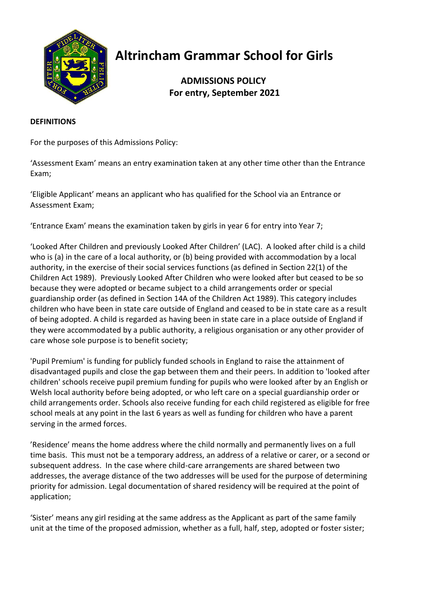

# **Altrincham Grammar School for Girls**

## **ADMISSIONS POLICY For entry, September 2021**

#### **DEFINITIONS**

For the purposes of this Admissions Policy:

'Assessment Exam' means an entry examination taken at any other time other than the Entrance Exam;

'Eligible Applicant' means an applicant who has qualified for the School via an Entrance or Assessment Exam;

'Entrance Exam' means the examination taken by girls in year 6 for entry into Year 7;

'Looked After Children and previously Looked After Children' (LAC). A looked after child is a child who is (a) in the care of a local authority, or (b) being provided with accommodation by a local authority, in the exercise of their social services functions (as defined in Section 22(1) of the Children Act 1989). Previously Looked After Children who were looked after but ceased to be so because they were adopted or became subject to a child arrangements order or special guardianship order (as defined in Section 14A of the Children Act 1989). This category includes children who have been in state care outside of England and ceased to be in state care as a result of being adopted. A child is regarded as having been in state care in a place outside of England if they were accommodated by a public authority, a religious organisation or any other provider of care whose sole purpose is to benefit society;

'Pupil Premium' is funding for publicly funded schools in England to raise the attainment of disadvantaged pupils and close the gap between them and their peers. In addition to 'looked after children' schools receive pupil premium funding for pupils who were looked after by an English or Welsh local authority before being adopted, or who left care on a special guardianship order or child arrangements order. Schools also receive funding for each child registered as eligible for free school meals at any point in the last 6 years as well as funding for children who have a parent serving in the armed forces.

'Residence' means the home address where the child normally and permanently lives on a full time basis. This must not be a temporary address, an address of a relative or carer, or a second or subsequent address. In the case where child-care arrangements are shared between two addresses, the average distance of the two addresses will be used for the purpose of determining priority for admission. Legal documentation of shared residency will be required at the point of application;

'Sister' means any girl residing at the same address as the Applicant as part of the same family unit at the time of the proposed admission, whether as a full, half, step, adopted or foster sister;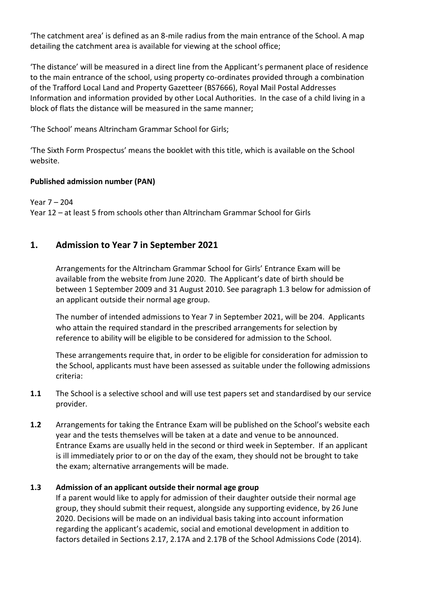'The catchment area' is defined as an 8-mile radius from the main entrance of the School. A map detailing the catchment area is available for viewing at the school office;

'The distance' will be measured in a direct line from the Applicant's permanent place of residence to the main entrance of the school, using property co-ordinates provided through a combination of the Trafford Local Land and Property Gazetteer (BS7666), Royal Mail Postal Addresses Information and information provided by other Local Authorities. In the case of a child living in a block of flats the distance will be measured in the same manner;

'The School' means Altrincham Grammar School for Girls;

'The Sixth Form Prospectus' means the booklet with this title, which is available on the School website.

## **Published admission number (PAN)**

Year 7 – 204 Year 12 – at least 5 from schools other than Altrincham Grammar School for Girls

## **1. Admission to Year 7 in September 2021**

Arrangements for the Altrincham Grammar School for Girls' Entrance Exam will be available from the website from June 2020. The Applicant's date of birth should be between 1 September 2009 and 31 August 2010. See paragraph 1.3 below for admission of an applicant outside their normal age group.

The number of intended admissions to Year 7 in September 2021, will be 204. Applicants who attain the required standard in the prescribed arrangements for selection by reference to ability will be eligible to be considered for admission to the School.

These arrangements require that, in order to be eligible for consideration for admission to the School, applicants must have been assessed as suitable under the following admissions criteria:

- **1.1** The School is a selective school and will use test papers set and standardised by our service provider.
- **1.2** Arrangements for taking the Entrance Exam will be published on the School's website each year and the tests themselves will be taken at a date and venue to be announced. Entrance Exams are usually held in the second or third week in September. If an applicant is ill immediately prior to or on the day of the exam, they should not be brought to take the exam; alternative arrangements will be made.

## **1.3 Admission of an applicant outside their normal age group**

If a parent would like to apply for admission of their daughter outside their normal age group, they should submit their request, alongside any supporting evidence, by 26 June 2020. Decisions will be made on an individual basis taking into account information regarding the applicant's academic, social and emotional development in addition to factors detailed in Sections 2.17, 2.17A and 2.17B of the School Admissions Code (2014).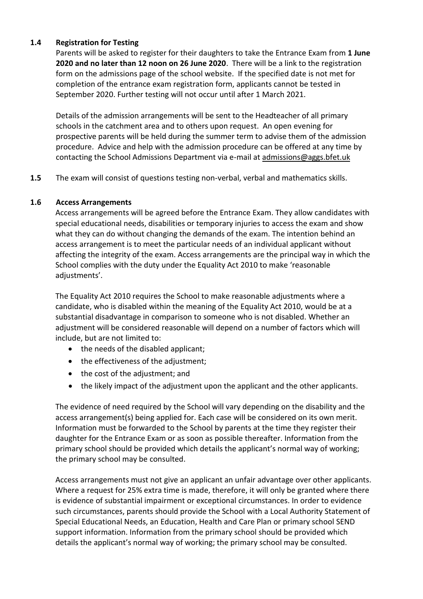#### **1.4 Registration for Testing**

Parents will be asked to register for their daughters to take the Entrance Exam from **1 June 2020 and no later than 12 noon on 26 June 2020**. There will be a link to the registration form on the admissions page of the school website. If the specified date is not met for completion of the entrance exam registration form, applicants cannot be tested in September 2020. Further testing will not occur until after 1 March 2021.

Details of the admission arrangements will be sent to the Headteacher of all primary schools in the catchment area and to others upon request. An open evening for prospective parents will be held during the summer term to advise them of the admission procedure. Advice and help with the admission procedure can be offered at any time by contacting the School Admissions Department via e-mail at [admissions@aggs.bfet.uk](mailto:admissions@aggs.bfet.uk)

**1.5** The exam will consist of questions testing non-verbal, verbal and mathematics skills.

#### **1.6 Access Arrangements**

Access arrangements will be agreed before the Entrance Exam. They allow candidates with special educational needs, disabilities or temporary injuries to access the exam and show what they can do without changing the demands of the exam. The intention behind an access arrangement is to meet the particular needs of an individual applicant without affecting the integrity of the exam. Access arrangements are the principal way in which the School complies with the duty under the Equality Act 2010 to make 'reasonable adjustments'.

The Equality Act 2010 requires the School to make reasonable adjustments where a candidate, who is disabled within the meaning of the Equality Act 2010, would be at a substantial disadvantage in comparison to someone who is not disabled. Whether an adjustment will be considered reasonable will depend on a number of factors which will include, but are not limited to:

- the needs of the disabled applicant;
- the effectiveness of the adjustment:
- the cost of the adjustment; and
- the likely impact of the adjustment upon the applicant and the other applicants.

The evidence of need required by the School will vary depending on the disability and the access arrangement(s) being applied for. Each case will be considered on its own merit. Information must be forwarded to the School by parents at the time they register their daughter for the Entrance Exam or as soon as possible thereafter. Information from the primary school should be provided which details the applicant's normal way of working; the primary school may be consulted.

Access arrangements must not give an applicant an unfair advantage over other applicants. Where a request for 25% extra time is made, therefore, it will only be granted where there is evidence of substantial impairment or exceptional circumstances. In order to evidence such circumstances, parents should provide the School with a Local Authority Statement of Special Educational Needs, an Education, Health and Care Plan or primary school SEND support information. Information from the primary school should be provided which details the applicant's normal way of working; the primary school may be consulted.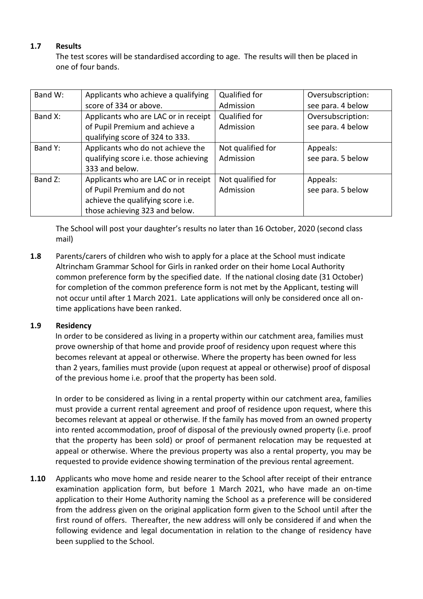## **1.7 Results**

The test scores will be standardised according to age. The results will then be placed in one of four bands.

| Band W: | Applicants who achieve a qualifying   | Qualified for     | Oversubscription: |
|---------|---------------------------------------|-------------------|-------------------|
|         | score of 334 or above.                | Admission         | see para. 4 below |
| Band X: | Applicants who are LAC or in receipt  | Qualified for     | Oversubscription: |
|         | of Pupil Premium and achieve a        | Admission         | see para. 4 below |
|         | qualifying score of 324 to 333.       |                   |                   |
| Band Y: | Applicants who do not achieve the     | Not qualified for | Appeals:          |
|         | qualifying score i.e. those achieving | Admission         | see para. 5 below |
|         | 333 and below.                        |                   |                   |
| Band Z: | Applicants who are LAC or in receipt  | Not qualified for | Appeals:          |
|         | of Pupil Premium and do not           | Admission         | see para. 5 below |
|         | achieve the qualifying score i.e.     |                   |                   |
|         | those achieving 323 and below.        |                   |                   |

The School will post your daughter's results no later than 16 October, 2020 (second class mail)

**1.8** Parents/carers of children who wish to apply for a place at the School must indicate Altrincham Grammar School for Girls in ranked order on their home Local Authority common preference form by the specified date. If the national closing date (31 October) for completion of the common preference form is not met by the Applicant, testing will not occur until after 1 March 2021. Late applications will only be considered once all ontime applications have been ranked.

## **1.9 Residency**

In order to be considered as living in a property within our catchment area, families must prove ownership of that home and provide proof of residency upon request where this becomes relevant at appeal or otherwise. Where the property has been owned for less than 2 years, families must provide (upon request at appeal or otherwise) proof of disposal of the previous home i.e. proof that the property has been sold.

In order to be considered as living in a rental property within our catchment area, families must provide a current rental agreement and proof of residence upon request, where this becomes relevant at appeal or otherwise. If the family has moved from an owned property into rented accommodation, proof of disposal of the previously owned property (i.e. proof that the property has been sold) or proof of permanent relocation may be requested at appeal or otherwise. Where the previous property was also a rental property, you may be requested to provide evidence showing termination of the previous rental agreement.

**1.10** Applicants who move home and reside nearer to the School after receipt of their entrance examination application form, but before 1 March 2021, who have made an on-time application to their Home Authority naming the School as a preference will be considered from the address given on the original application form given to the School until after the first round of offers. Thereafter, the new address will only be considered if and when the following evidence and legal documentation in relation to the change of residency have been supplied to the School.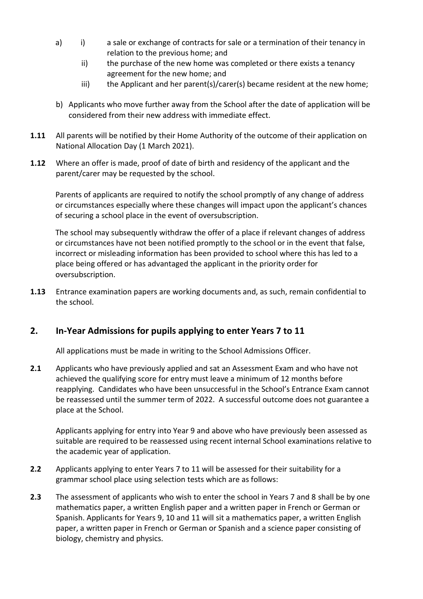- a) i) a sale or exchange of contracts for sale or a termination of their tenancy in relation to the previous home; and
	- ii) the purchase of the new home was completed or there exists a tenancy agreement for the new home; and
	- iii) the Applicant and her parent(s)/carer(s) became resident at the new home;
- b) Applicants who move further away from the School after the date of application will be considered from their new address with immediate effect.
- **1.11** All parents will be notified by their Home Authority of the outcome of their application on National Allocation Day (1 March 2021).
- **1.12** Where an offer is made, proof of date of birth and residency of the applicant and the parent/carer may be requested by the school.

Parents of applicants are required to notify the school promptly of any change of address or circumstances especially where these changes will impact upon the applicant's chances of securing a school place in the event of oversubscription.

The school may subsequently withdraw the offer of a place if relevant changes of address or circumstances have not been notified promptly to the school or in the event that false, incorrect or misleading information has been provided to school where this has led to a place being offered or has advantaged the applicant in the priority order for oversubscription.

**1.13** Entrance examination papers are working documents and, as such, remain confidential to the school.

## **2. In-Year Admissions for pupils applying to enter Years 7 to 11**

All applications must be made in writing to the School Admissions Officer.

**2.1** Applicants who have previously applied and sat an Assessment Exam and who have not achieved the qualifying score for entry must leave a minimum of 12 months before reapplying. Candidates who have been unsuccessful in the School's Entrance Exam cannot be reassessed until the summer term of 2022. A successful outcome does not guarantee a place at the School.

Applicants applying for entry into Year 9 and above who have previously been assessed as suitable are required to be reassessed using recent internal School examinations relative to the academic year of application.

- **2.2** Applicants applying to enter Years 7 to 11 will be assessed for their suitability for a grammar school place using selection tests which are as follows:
- **2.3** The assessment of applicants who wish to enter the school in Years 7 and 8 shall be by one mathematics paper, a written English paper and a written paper in French or German or Spanish. Applicants for Years 9, 10 and 11 will sit a mathematics paper, a written English paper, a written paper in French or German or Spanish and a science paper consisting of biology, chemistry and physics.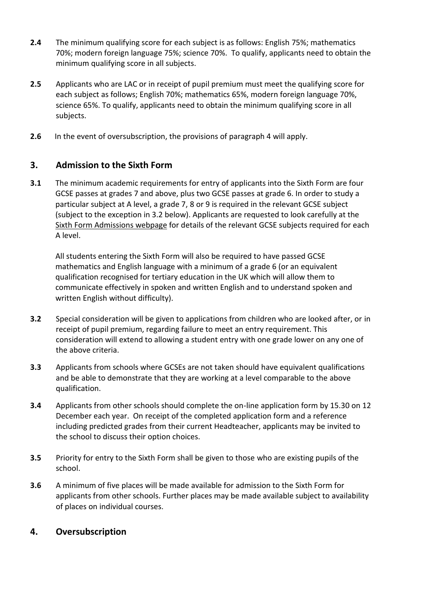- **2.4** The minimum qualifying score for each subject is as follows: English 75%; mathematics 70%; modern foreign language 75%; science 70%. To qualify, applicants need to obtain the minimum qualifying score in all subjects.
- **2.5** Applicants who are LAC or in receipt of pupil premium must meet the qualifying score for each subject as follows; English 70%; mathematics 65%, modern foreign language 70%, science 65%. To qualify, applicants need to obtain the minimum qualifying score in all subjects.
- **2.6** In the event of oversubscription, the provisions of paragraph 4 will apply.

## **3. Admission to the Sixth Form**

**3.1** The minimum academic requirements for entry of applicants into the Sixth Form are four GCSE passes at grades 7 and above, plus two GCSE passes at grade 6. In order to study a particular subject at A level, a grade 7, 8 or 9 is required in the relevant GCSE subject (subject to the exception in 3.2 below). Applicants are requested to look carefully at the [Sixth Form Admissions](http://www.aggs.trafford.sch.uk/sixth-form/admissions/) webpage for details of the relevant GCSE subjects required for each A level.

All students entering the Sixth Form will also be required to have passed GCSE mathematics and English language with a minimum of a grade 6 (or an equivalent qualification recognised for tertiary education in the UK which will allow them to communicate effectively in spoken and written English and to understand spoken and written English without difficulty).

- **3.2** Special consideration will be given to applications from children who are looked after, or in receipt of pupil premium, regarding failure to meet an entry requirement. This consideration will extend to allowing a student entry with one grade lower on any one of the above criteria.
- **3.3** Applicants from schools where GCSEs are not taken should have equivalent qualifications and be able to demonstrate that they are working at a level comparable to the above qualification.
- **3.4** Applicants from other schools should complete the on-line application form by 15.30 on 12 December each year. On receipt of the completed application form and a reference including predicted grades from their current Headteacher, applicants may be invited to the school to discuss their option choices.
- **3.5** Priority for entry to the Sixth Form shall be given to those who are existing pupils of the school.
- **3.6** A minimum of five places will be made available for admission to the Sixth Form for applicants from other schools. Further places may be made available subject to availability of places on individual courses.

## **4. Oversubscription**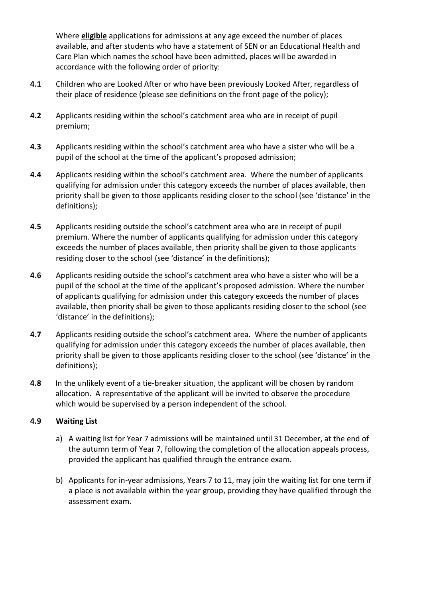Where **eligible** applications for admissions at any age exceed the number of places available, and after students who have a statement of SEN or an Educational Health and Care Plan which names the school have been admitted, places will be awarded in accordance with the following order of priority:

- **4.1** Children who are Looked After or who have been previously Looked After, regardless of their place of residence (please see definitions on the front page of the policy);
- **4.2** Applicants residing within the school's catchment area who are in receipt of pupil premium;
- **4.3** Applicants residing within the school's catchment area who have a sister who will be a pupil of the school at the time of the applicant's proposed admission;
- **4.4** Applicants residing within the school's catchment area. Where the number of applicants qualifying for admission under this category exceeds the number of places available, then priority shall be given to those applicants residing closer to the school (see 'distance' in the definitions);
- **4.5** Applicants residing outside the school's catchment area who are in receipt of pupil premium. Where the number of applicants qualifying for admission under this category exceeds the number of places available, then priority shall be given to those applicants residing closer to the school (see 'distance' in the definitions);
- **4.6** Applicants residing outside the school's catchment area who have a sister who will be a pupil of the school at the time of the applicant's proposed admission. Where the number of applicants qualifying for admission under this category exceeds the number of places available, then priority shall be given to those applicants residing closer to the school (see 'distance' in the definitions);
- **4.7** Applicants residing outside the school's catchment area. Where the number of applicants qualifying for admission under this category exceeds the number of places available, then priority shall be given to those applicants residing closer to the school (see 'distance' in the definitions);
- **4.8** In the unlikely event of a tie-breaker situation, the applicant will be chosen by random allocation. A representative of the applicant will be invited to observe the procedure which would be supervised by a person independent of the school.

## **4.9 Waiting List**

- a) A waiting list for Year 7 admissions will be maintained until 31 December, at the end of the autumn term of Year 7, following the completion of the allocation appeals process, provided the applicant has qualified through the entrance exam.
- b) Applicants for in-year admissions, Years 7 to 11, may join the waiting list for one term if a place is not available within the year group, providing they have qualified through the assessment exam.